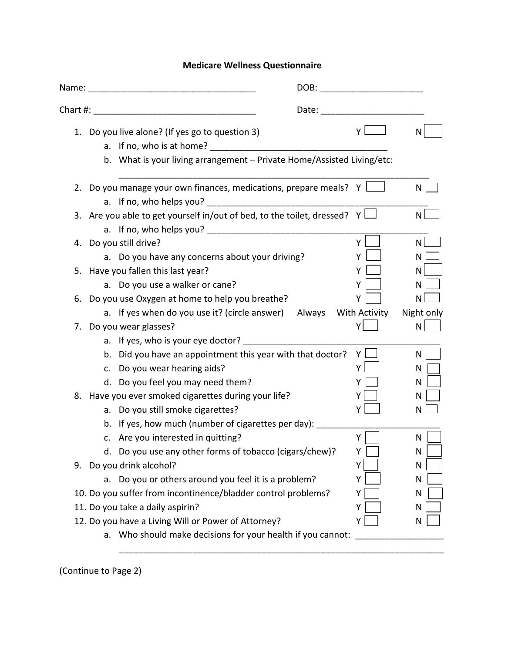## **Medicare Wellness Questionnaire**

|    |                                                                          | DOB: _____________________________ |            |
|----|--------------------------------------------------------------------------|------------------------------------|------------|
|    |                                                                          |                                    |            |
| 1. | Do you live alone? (If yes go to question 3)                             | Υ                                  | N          |
|    | b. What is your living arrangement - Private Home/Assisted Living/etc:   |                                    |            |
|    | 2. Do you manage your own finances, medications, prepare meals? Y        |                                    | N          |
|    | 3. Are you able to get yourself in/out of bed, to the toilet, dressed? Y |                                    | N          |
| 4. | Do you still drive?                                                      | Y                                  | N          |
|    | a. Do you have any concerns about your driving?                          | Y                                  | N          |
| 5. | Have you fallen this last year?                                          |                                    | N          |
|    | a. Do you use a walker or cane?                                          | Y                                  | N          |
| 6. | Do you use Oxygen at home to help you breathe?                           | Y                                  | N          |
|    | a. If yes when do you use it? (circle answer)<br>Always                  | With Activity                      | Night only |
|    | 7. Do you wear glasses?                                                  | Υ                                  | N          |
|    |                                                                          |                                    |            |
|    | b. Did you have an appointment this year with that doctor?               | Y                                  | N          |
|    | c. Do you wear hearing aids?                                             | Y                                  | N          |
|    | d. Do you feel you may need them?                                        | Y                                  | N          |
|    | 8. Have you ever smoked cigarettes during your life?                     | Y                                  | N          |
|    | a. Do you still smoke cigarettes?                                        | Y                                  | N          |
|    | b. If yes, how much (number of cigarettes per day): _______              |                                    |            |
|    | c. Are you interested in quitting?                                       | Y                                  | N          |
|    | d. Do you use any other forms of tobacco (cigars/chew)?                  | Υ                                  | N          |
|    | 9. Do you drink alcohol?                                                 | Y                                  | N          |
|    | a. Do you or others around you feel it is a problem?                     | Υ                                  | N          |
|    | 10. Do you suffer from incontinence/bladder control problems?            | Y                                  | N          |
|    | 11. Do you take a daily aspirin?                                         | Υ                                  | N          |
|    | 12. Do you have a Living Will or Power of Attorney?                      | Υ                                  | N          |
|    | a. Who should make decisions for your health if you cannot:              |                                    |            |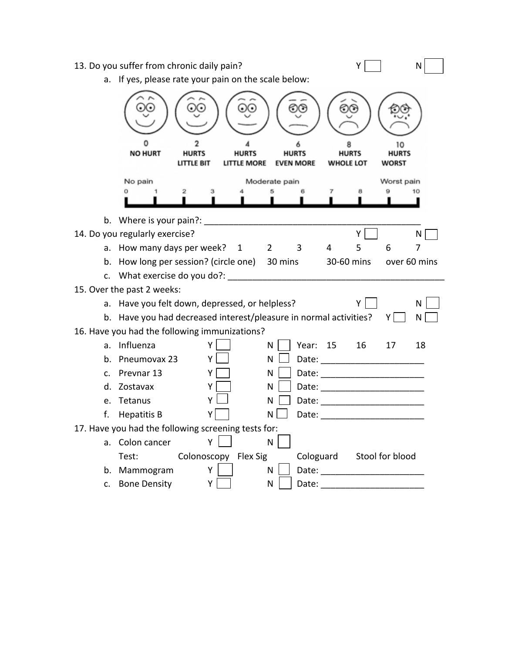#### 13. Do you suffer from chronic daily pain? The Management of the New Year New Year New Year New Year New Year N

|                | a. If yes, please rate your pain on the scale below:                  |                            |                                    |                   |                  |                                                                                                                                                                                                                                |                             |                |  |
|----------------|-----------------------------------------------------------------------|----------------------------|------------------------------------|-------------------|------------------|--------------------------------------------------------------------------------------------------------------------------------------------------------------------------------------------------------------------------------|-----------------------------|----------------|--|
|                |                                                                       |                            |                                    |                   |                  |                                                                                                                                                                                                                                |                             |                |  |
|                | <b>NO HURT</b>                                                        | <b>HURTS</b><br>LITTLE BIT | <b>HURTS</b><br><b>LITTLE MORE</b> |                   | <b>EVEN MORE</b> | <b>HURTS</b><br><b>WHOLE LOT</b>                                                                                                                                                                                               | 10<br><b>HURTS</b><br>WORST |                |  |
|                | No pain                                                               |                            |                                    | Moderate pain     |                  |                                                                                                                                                                                                                                | Worst pain                  |                |  |
|                |                                                                       |                            |                                    |                   |                  | 8                                                                                                                                                                                                                              |                             | 10             |  |
|                |                                                                       |                            |                                    |                   |                  |                                                                                                                                                                                                                                |                             |                |  |
|                |                                                                       |                            |                                    |                   |                  |                                                                                                                                                                                                                                |                             |                |  |
|                | 14. Do you regularly exercise?                                        |                            |                                    |                   |                  | Y                                                                                                                                                                                                                              |                             | N              |  |
|                | a. How many days per week? 1 2 3 4                                    |                            |                                    |                   |                  | 5                                                                                                                                                                                                                              | 6                           | $\overline{7}$ |  |
|                | b. How long per session? (circle one) 30 mins 30-60 mins over 60 mins |                            |                                    |                   |                  |                                                                                                                                                                                                                                |                             |                |  |
|                |                                                                       |                            |                                    |                   |                  |                                                                                                                                                                                                                                |                             |                |  |
|                | 15. Over the past 2 weeks:                                            |                            |                                    |                   |                  |                                                                                                                                                                                                                                |                             |                |  |
| a.             | Have you felt down, depressed, or helpless?                           |                            |                                    |                   |                  | Υ                                                                                                                                                                                                                              |                             | N              |  |
|                | b. Have you had decreased interest/pleasure in normal activities?     |                            |                                    |                   |                  |                                                                                                                                                                                                                                | Y                           | N              |  |
|                | 16. Have you had the following immunizations?<br>Influenza            |                            |                                    |                   |                  |                                                                                                                                                                                                                                |                             |                |  |
| a.             |                                                                       | Y                          |                                    | N                 | Year: 15         | 16                                                                                                                                                                                                                             | 17                          | 18             |  |
| b.             | Pneumovax 23                                                          | $\mathsf{Y}$               |                                    | N                 |                  |                                                                                                                                                                                                                                |                             |                |  |
| C <sub>1</sub> | Prevnar 13<br>d. Zostavax                                             | Y                          |                                    | N                 |                  | Date: ___________________________                                                                                                                                                                                              |                             |                |  |
|                | e. Tetanus                                                            | Y<br>Y                     |                                    | N<br>$\mathsf{N}$ |                  |                                                                                                                                                                                                                                |                             |                |  |
| f.             | <b>Hepatitis B</b>                                                    | Y                          |                                    | N                 |                  | Date: ____________________________                                                                                                                                                                                             |                             |                |  |
|                | 17. Have you had the following screening tests for:                   |                            |                                    |                   |                  |                                                                                                                                                                                                                                |                             |                |  |
|                | a. Colon cancer                                                       | Y                          |                                    | N                 |                  |                                                                                                                                                                                                                                |                             |                |  |
|                | Test:                                                                 | Colonoscopy Flex Sig       |                                    |                   |                  | Cologuard Stool for blood                                                                                                                                                                                                      |                             |                |  |
|                | b. Mammogram                                                          | Y                          |                                    | N                 |                  |                                                                                                                                                                                                                                |                             |                |  |
|                | c. Bone Density                                                       | <b>Example 19</b>          |                                    | $\mathsf{N}$      |                  | Date: the contract of the contract of the contract of the contract of the contract of the contract of the contract of the contract of the contract of the contract of the contract of the contract of the contract of the cont |                             |                |  |
|                |                                                                       |                            |                                    |                   |                  |                                                                                                                                                                                                                                |                             |                |  |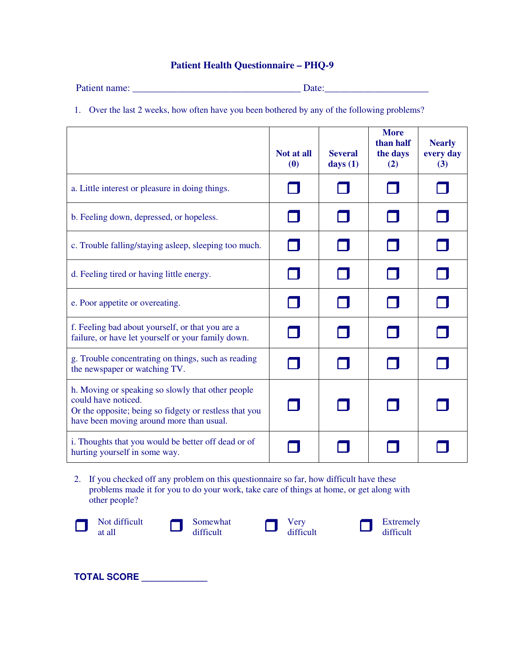### **Patient Health Questionnaire – PHQ-9**

| Patient name: |  |
|---------------|--|
|---------------|--|

1. Over the last 2 weeks, how often have you been bothered by any of the following problems?

|                                                                                                                                                                                | Not at all<br>(0) | <b>Several</b><br>days $(1)$ | <b>More</b><br>than half<br>the days<br>(2) | <b>Nearly</b><br>every day<br>(3) |
|--------------------------------------------------------------------------------------------------------------------------------------------------------------------------------|-------------------|------------------------------|---------------------------------------------|-----------------------------------|
| a. Little interest or pleasure in doing things.                                                                                                                                |                   |                              |                                             | $\mathcal{L}$                     |
| b. Feeling down, depressed, or hopeless.                                                                                                                                       |                   |                              |                                             |                                   |
| c. Trouble falling/staying asleep, sleeping too much.                                                                                                                          |                   |                              |                                             |                                   |
| d. Feeling tired or having little energy.                                                                                                                                      |                   |                              |                                             |                                   |
| e. Poor appetite or overeating.                                                                                                                                                |                   |                              |                                             |                                   |
| f. Feeling bad about yourself, or that you are a<br>failure, or have let yourself or your family down.                                                                         |                   |                              |                                             |                                   |
| g. Trouble concentrating on things, such as reading<br>the newspaper or watching TV.                                                                                           |                   |                              |                                             |                                   |
| h. Moving or speaking so slowly that other people<br>could have noticed.<br>Or the opposite; being so fidgety or restless that you<br>have been moving around more than usual. |                   |                              |                                             |                                   |
| i. Thoughts that you would be better off dead or of<br>hurting yourself in some way.                                                                                           |                   |                              |                                             |                                   |

2. If you checked off any problem on this questionnaire so far, how difficult have these problems made it for you to do your work, take care of things at home, or get along with other people?







 $\Box$  Extremely difficult

**TOTAL SCORE \_\_\_\_\_\_\_\_\_\_\_\_\_**